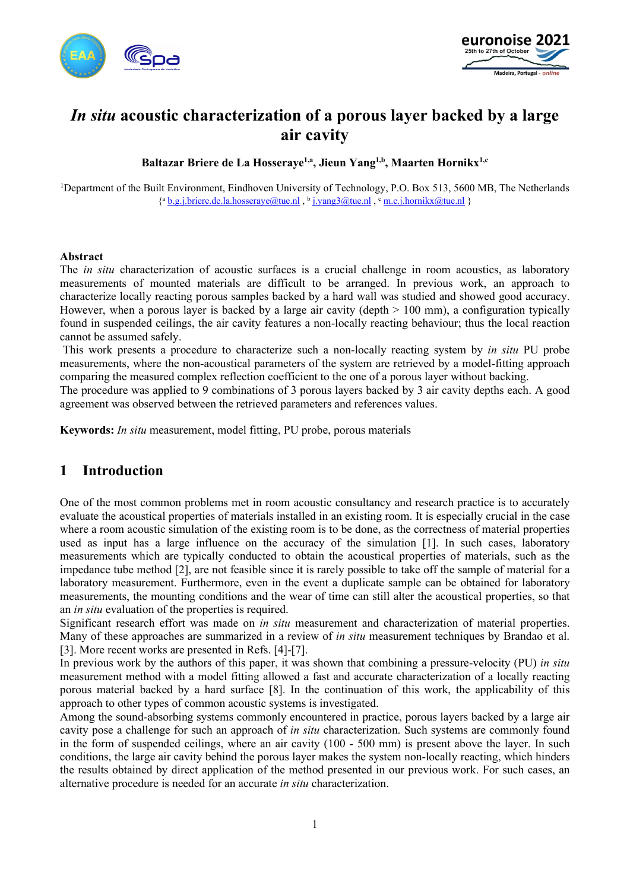



# *In situ* **acoustic characterization of a porous layer backed by a large air cavity**

### **Baltazar Briere de La Hosseraye1,a, Jieun Yang1,b, Maarten Hornikx1,c**

<sup>1</sup>Department of the Built Environment, Eindhoven University of Technology, P.O. Box 513, 5600 MB, The Netherlands  ${^a}$  [b.g.j.briere.de.la.hosseraye@tue.nl](mailto:b.g.j.briere.de.la.hosseraye@tue.nl), b [j.yang3@tue.nl](mailto:j.yang3@tue.nl), c [m.c.j.hornikx@tue.nl](mailto:m.c.j.hornikx@tue.nl) }

### **Abstract**

The *in situ* characterization of acoustic surfaces is a crucial challenge in room acoustics, as laboratory measurements of mounted materials are difficult to be arranged. In previous work, an approach to characterize locally reacting porous samples backed by a hard wall was studied and showed good accuracy. However, when a porous layer is backed by a large air cavity (depth  $> 100$  mm), a configuration typically found in suspended ceilings, the air cavity features a non-locally reacting behaviour; thus the local reaction cannot be assumed safely.

This work presents a procedure to characterize such a non-locally reacting system by *in situ* PU probe measurements, where the non-acoustical parameters of the system are retrieved by a model-fitting approach comparing the measured complex reflection coefficient to the one of a porous layer without backing.

The procedure was applied to 9 combinations of 3 porous layers backed by 3 air cavity depths each. A good agreement was observed between the retrieved parameters and references values.

**Keywords:** *In situ* measurement, model fitting, PU probe, porous materials

# **1 Introduction**

One of the most common problems met in room acoustic consultancy and research practice is to accurately evaluate the acoustical properties of materials installed in an existing room. It is especially crucial in the case where a room acoustic simulation of the existing room is to be done, as the correctness of material properties used as input has a large influence on the accuracy of the simulation [1]. In such cases, laboratory measurements which are typically conducted to obtain the acoustical properties of materials, such as the impedance tube method [2], are not feasible since it is rarely possible to take off the sample of material for a laboratory measurement. Furthermore, even in the event a duplicate sample can be obtained for laboratory measurements, the mounting conditions and the wear of time can still alter the acoustical properties, so that an *in situ* evaluation of the properties is required.

Significant research effort was made on *in situ* measurement and characterization of material properties. Many of these approaches are summarized in a review of *in situ* measurement techniques by Brandao et al. [3]. More recent works are presented in Refs. [4]-[7].

In previous work by the authors of this paper, it was shown that combining a pressure-velocity (PU) *in situ* measurement method with a model fitting allowed a fast and accurate characterization of a locally reacting porous material backed by a hard surface [8]. In the continuation of this work, the applicability of this approach to other types of common acoustic systems is investigated.

Among the sound-absorbing systems commonly encountered in practice, porous layers backed by a large air cavity pose a challenge for such an approach of *in situ* characterization. Such systems are commonly found in the form of suspended ceilings, where an air cavity (100 - 500 mm) is present above the layer. In such conditions, the large air cavity behind the porous layer makes the system non-locally reacting, which hinders the results obtained by direct application of the method presented in our previous work. For such cases, an alternative procedure is needed for an accurate *in situ* characterization.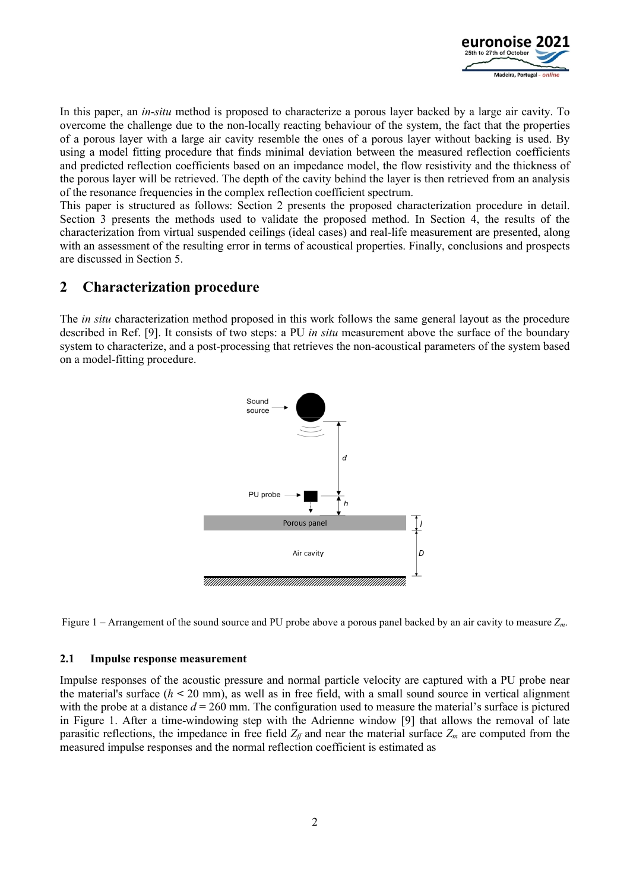

In this paper, an *in-situ* method is proposed to characterize a porous layer backed by a large air cavity. To overcome the challenge due to the non-locally reacting behaviour of the system, the fact that the properties of a porous layer with a large air cavity resemble the ones of a porous layer without backing is used. By using a model fitting procedure that finds minimal deviation between the measured reflection coefficients and predicted reflection coefficients based on an impedance model, the flow resistivity and the thickness of the porous layer will be retrieved. The depth of the cavity behind the layer is then retrieved from an analysis of the resonance frequencies in the complex reflection coefficient spectrum.

This paper is structured as follows: Section 2 presents the proposed characterization procedure in detail. Section 3 presents the methods used to validate the proposed method. In Section 4, the results of the characterization from virtual suspended ceilings (ideal cases) and real-life measurement are presented, along with an assessment of the resulting error in terms of acoustical properties. Finally, conclusions and prospects are discussed in Section 5.

# **2 Characterization procedure**

The *in situ* characterization method proposed in this work follows the same general layout as the procedure described in Ref. [9]. It consists of two steps: a PU *in situ* measurement above the surface of the boundary system to characterize, and a post-processing that retrieves the non-acoustical parameters of the system based on a model-fitting procedure.



Figure 1 – Arrangement of the sound source and PU probe above a porous panel backed by an air cavity to measure *Zm*.

### **2.1 Impulse response measurement**

Impulse responses of the acoustic pressure and normal particle velocity are captured with a PU probe near the material's surface  $(h \leq 20 \text{ mm})$ , as well as in free field, with a small sound source in vertical alignment with the probe at a distance  $d = 260$  mm. The configuration used to measure the material's surface is pictured in Figure 1. After a time-windowing step with the Adrienne window [9] that allows the removal of late parasitic reflections, the impedance in free field  $Z_f$  and near the material surface  $Z_m$  are computed from the measured impulse responses and the normal reflection coefficient is estimated as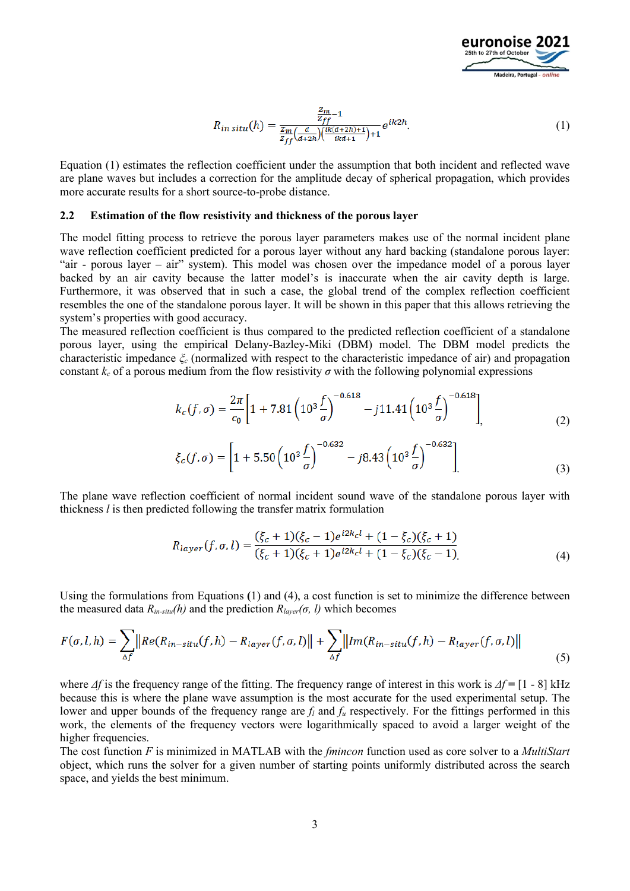

$$
R_{in\,situ}(h) = \frac{\frac{Z_m}{Z_{ff}} - 1}{\frac{Z_m}{Z_{ff}}\left(\frac{d}{d+2h}\right)\left(\frac{ik(d+2h)+1}{ikd+1}\right) + 1}e^{ik2h}.\tag{1}
$$

Equation (1) estimates the reflection coefficient under the assumption that both incident and reflected wave are plane waves but includes a correction for the amplitude decay of spherical propagation, which provides more accurate results for a short source-to-probe distance.

#### **2.2 Estimation of the flow resistivity and thickness of the porous layer**

The model fitting process to retrieve the porous layer parameters makes use of the normal incident plane wave reflection coefficient predicted for a porous layer without any hard backing (standalone porous layer: "air - porous layer – air" system). This model was chosen over the impedance model of a porous layer backed by an air cavity because the latter model's is inaccurate when the air cavity depth is large. Furthermore, it was observed that in such a case, the global trend of the complex reflection coefficient resembles the one of the standalone porous layer. It will be shown in this paper that this allows retrieving the system's properties with good accuracy.

The measured reflection coefficient is thus compared to the predicted reflection coefficient of a standalone porous layer, using the empirical Delany-Bazley-Miki (DBM) model. The DBM model predicts the characteristic impedance *ξ<sup>c</sup>* (normalized with respect to the characteristic impedance of air) and propagation constant  $k_c$  of a porous medium from the flow resistivity  $\sigma$  with the following polynomial expressions

$$
k_c(f,\sigma) = \frac{2\pi}{c_0} \bigg[ 1 + 7.81 \left( 10^3 \frac{f}{\sigma} \right)^{-0.618} - j11.41 \left( 10^3 \frac{f}{\sigma} \right)^{-0.618} \bigg] \tag{2}
$$

$$
\xi_c(f,\sigma) = \left[1 + 5.50 \left(10^3 \frac{f}{\sigma}\right)^{-0.632} - j8.43 \left(10^3 \frac{f}{\sigma}\right)^{-0.632}\right] \tag{3}
$$

The plane wave reflection coefficient of normal incident sound wave of the standalone porous layer with thickness *l* is then predicted following the transfer matrix formulation

$$
R_{layer}(f,\sigma,l) = \frac{(\xi_c+1)(\xi_c-1)e^{i2k_c l} + (1-\xi_c)(\xi_c+1)}{(\xi_c+1)(\xi_c+1)e^{i2k_c l} + (1-\xi_c)(\xi_c-1)}\tag{4}
$$

Using the formulations from Equations **(**1) and (4), a cost function is set to minimize the difference between the measured data  $R_{in-situ}$ (h) and the prediction  $R_{layer}$ ( $\sigma$ , l) which becomes

$$
F(\sigma, l, h) = \sum_{\Delta f} \left\| Re(R_{in-situ}(f, h) - R_{layer}(f, \sigma, l)) \right\| + \sum_{\Delta f} \left\| Im(R_{in-situ}(f, h) - R_{layer}(f, \sigma, l)) \right\| \tag{5}
$$

where *Δf* is the frequency range of the fitting. The frequency range of interest in this work is *Δf* **=** [1 - 8] kHz because this is where the plane wave assumption is the most accurate for the used experimental setup. The lower and upper bounds of the frequency range are  $f_l$  and  $f_u$  respectively. For the fittings performed in this work, the elements of the frequency vectors were logarithmically spaced to avoid a larger weight of the higher frequencies.

The cost function *F* is minimized in MATLAB with the *fmincon* function used as core solver to a *MultiStart* object, which runs the solver for a given number of starting points uniformly distributed across the search space, and yields the best minimum.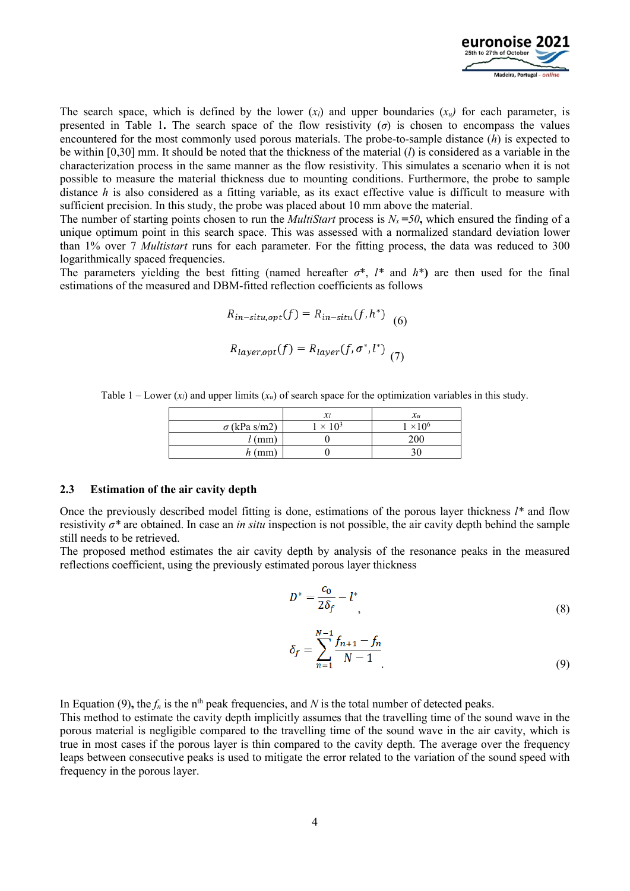

The search space, which is defined by the lower  $(x_i)$  and upper boundaries  $(x_i)$  for each parameter, is presented in Table 1. The search space of the flow resistivity  $(\sigma)$  is chosen to encompass the values encountered for the most commonly used porous materials. The probe-to-sample distance (*h*) is expected to be within [0,30] mm. It should be noted that the thickness of the material (*l*) is considered as a variable in the characterization process in the same manner as the flow resistivity. This simulates a scenario when it is not possible to measure the material thickness due to mounting conditions. Furthermore, the probe to sample distance *h* is also considered as a fitting variable, as its exact effective value is difficult to measure with sufficient precision. In this study, the probe was placed about 10 mm above the material.

The number of starting points chosen to run the *MultiStart* process is  $N_x = 50$ , which ensured the finding of a unique optimum point in this search space. This was assessed with a normalized standard deviation lower than 1% over 7 *Multistart* runs for each parameter. For the fitting process, the data was reduced to 300 logarithmically spaced frequencies.

The parameters yielding the best fitting (named hereafter  $\sigma^*$ ,  $l^*$  and  $h^*$ ) are then used for the final estimations of the measured and DBM-fitted reflection coefficients as follows

$$
R_{in-situ,opt}(f) = R_{in-situ}(f, h^*) \tag{6}
$$

$$
R_{layer,opt}(f) = R_{layer}(f, \sigma^*, l^*) \tag{7}
$$

Table 1 – Lower  $(x_i)$  and upper limits  $(x_i)$  of search space for the optimization variables in this study.

|                     | $\mathcal{X}$ l | $x_u$                    |
|---------------------|-----------------|--------------------------|
| $\sigma$ (kPa s/m2) | $\times 10^3$   | $\times$ 10 <sup>6</sup> |
| $'$ (mm)            |                 | 200                      |
| $h$ (mm)            |                 |                          |

#### **2.3 Estimation of the air cavity depth**

Once the previously described model fitting is done, estimations of the porous layer thickness *l\** and flow resistivity *σ\** are obtained. In case an *in situ* inspection is not possible, the air cavity depth behind the sample still needs to be retrieved.

The proposed method estimates the air cavity depth by analysis of the resonance peaks in the measured reflections coefficient, using the previously estimated porous layer thickness

$$
D^* = \frac{c_0}{2\delta_f} - l^*,\tag{8}
$$

$$
\delta_f = \sum_{n=1}^{N-1} \frac{f_{n+1} - f_n}{N-1} \tag{9}
$$

In Equation (9), the  $f_n$  is the n<sup>th</sup> peak frequencies, and *N* is the total number of detected peaks.

This method to estimate the cavity depth implicitly assumes that the travelling time of the sound wave in the porous material is negligible compared to the travelling time of the sound wave in the air cavity, which is true in most cases if the porous layer is thin compared to the cavity depth. The average over the frequency leaps between consecutive peaks is used to mitigate the error related to the variation of the sound speed with frequency in the porous layer.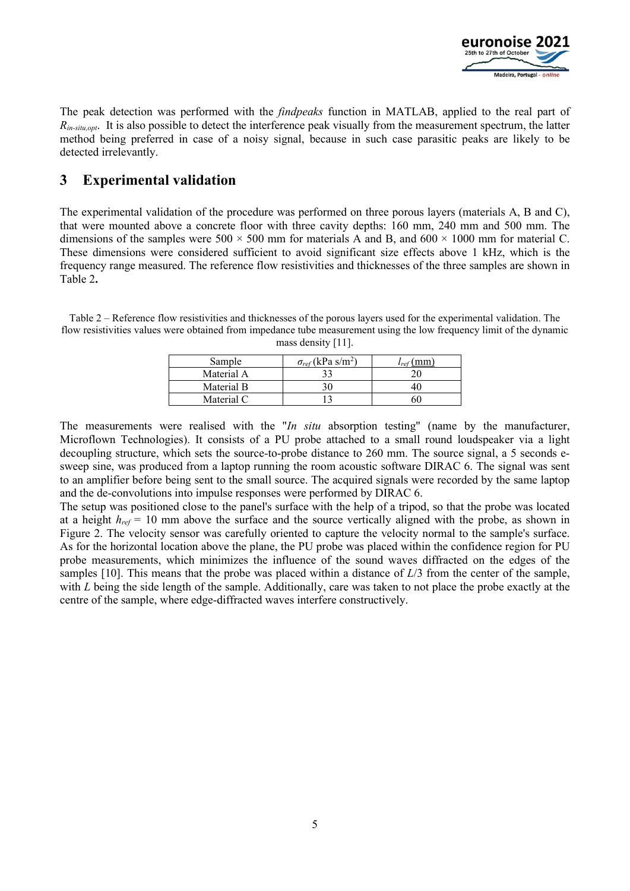

The peak detection was performed with the *findpeaks* function in MATLAB, applied to the real part of *Rin-situ,opt*. It is also possible to detect the interference peak visually from the measurement spectrum, the latter method being preferred in case of a noisy signal, because in such case parasitic peaks are likely to be detected irrelevantly.

# **3 Experimental validation**

The experimental validation of the procedure was performed on three porous layers (materials A, B and C), that were mounted above a concrete floor with three cavity depths: 160 mm, 240 mm and 500 mm. The dimensions of the samples were  $500 \times 500$  mm for materials A and B, and  $600 \times 1000$  mm for material C. These dimensions were considered sufficient to avoid significant size effects above 1 kHz, which is the frequency range measured. The reference flow resistivities and thicknesses of the three samples are shown in Table 2**.**

Table 2 – Reference flow resistivities and thicknesses of the porous layers used for the experimental validation. The flow resistivities values were obtained from impedance tube measurement using the low frequency limit of the dynamic mass density [11].

| Sample     | $\sigma_{ref}$ (kPa s/m <sup>2</sup> ) | (mm)<br>ref |
|------------|----------------------------------------|-------------|
| Material A |                                        |             |
| Material B |                                        |             |
| Material C |                                        |             |

The measurements were realised with the "*In situ* absorption testing" (name by the manufacturer, Microflown Technologies). It consists of a PU probe attached to a small round loudspeaker via a light decoupling structure, which sets the source-to-probe distance to 260 mm. The source signal, a 5 seconds esweep sine, was produced from a laptop running the room acoustic software DIRAC 6. The signal was sent to an amplifier before being sent to the small source. The acquired signals were recorded by the same laptop and the de-convolutions into impulse responses were performed by DIRAC 6.

The setup was positioned close to the panel's surface with the help of a tripod, so that the probe was located at a height  $h_{ref} = 10$  mm above the surface and the source vertically aligned with the probe, as shown in Figure 2. The velocity sensor was carefully oriented to capture the velocity normal to the sample's surface. As for the horizontal location above the plane, the PU probe was placed within the confidence region for PU probe measurements, which minimizes the influence of the sound waves diffracted on the edges of the samples [10]. This means that the probe was placed within a distance of *L*/3 from the center of the sample, with *L* being the side length of the sample. Additionally, care was taken to not place the probe exactly at the centre of the sample, where edge-diffracted waves interfere constructively.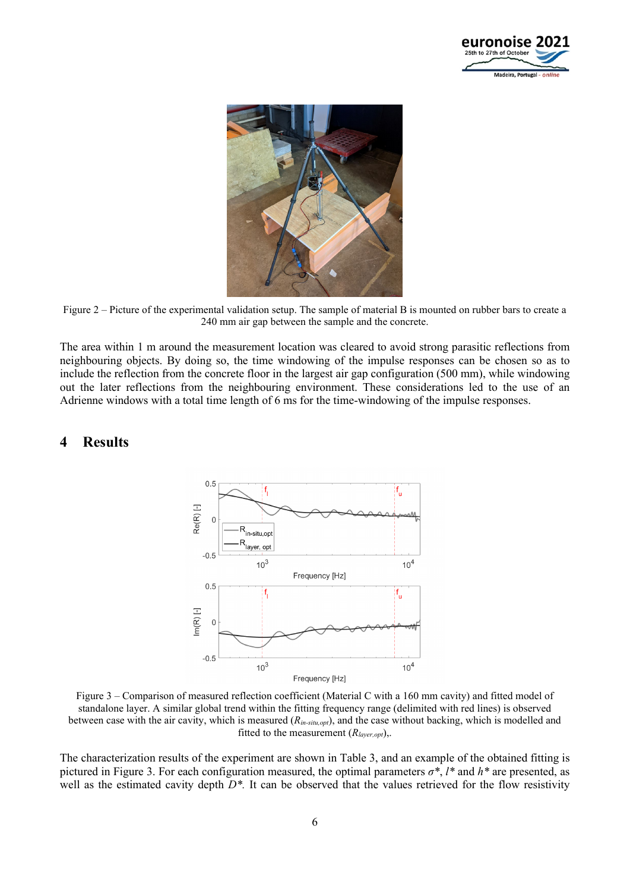



Figure 2 – Picture of the experimental validation setup. The sample of material B is mounted on rubber bars to create a 240 mm air gap between the sample and the concrete.

The area within 1 m around the measurement location was cleared to avoid strong parasitic reflections from neighbouring objects. By doing so, the time windowing of the impulse responses can be chosen so as to include the reflection from the concrete floor in the largest air gap configuration (500 mm), while windowing out the later reflections from the neighbouring environment. These considerations led to the use of an Adrienne windows with a total time length of 6 ms for the time-windowing of the impulse responses.

### **4 Results**



Figure 3 – Comparison of measured reflection coefficient (Material C with a 160 mm cavity) and fitted model of standalone layer. A similar global trend within the fitting frequency range (delimited with red lines) is observed between case with the air cavity, which is measured (*Rin-situ,opt*), and the case without backing, which is modelled and fitted to the measurement (*Rlayer,opt*),.

The characterization results of the experiment are shown in Table 3, and an example of the obtained fitting is pictured in Figure 3. For each configuration measured, the optimal parameters *σ\**, *l\** and *h\** are presented, as well as the estimated cavity depth  $D^*$ . It can be observed that the values retrieved for the flow resistivity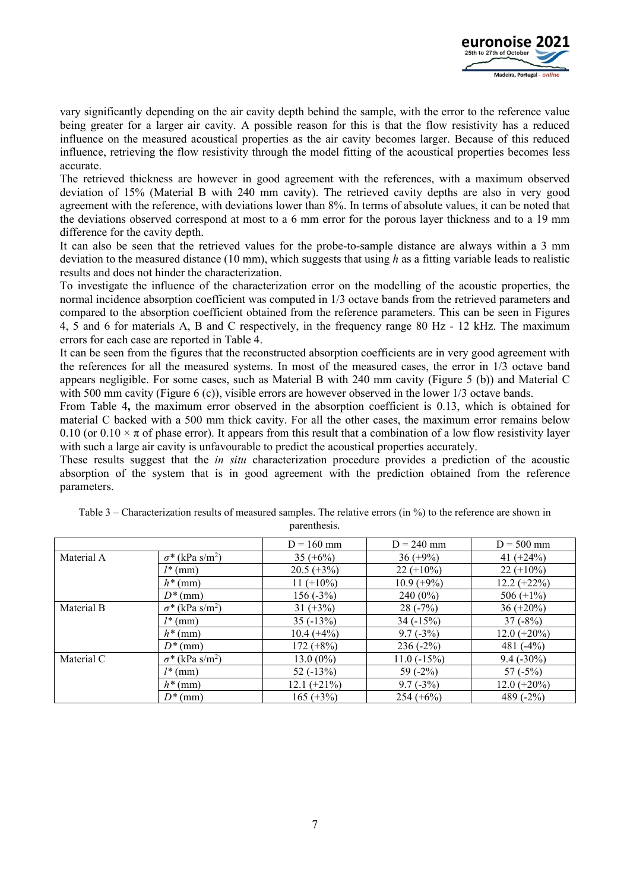

vary significantly depending on the air cavity depth behind the sample, with the error to the reference value being greater for a larger air cavity. A possible reason for this is that the flow resistivity has a reduced influence on the measured acoustical properties as the air cavity becomes larger. Because of this reduced influence, retrieving the flow resistivity through the model fitting of the acoustical properties becomes less accurate.

The retrieved thickness are however in good agreement with the references, with a maximum observed deviation of 15% (Material B with 240 mm cavity). The retrieved cavity depths are also in very good agreement with the reference, with deviations lower than 8%. In terms of absolute values, it can be noted that the deviations observed correspond at most to a 6 mm error for the porous layer thickness and to a 19 mm difference for the cavity depth.

It can also be seen that the retrieved values for the probe-to-sample distance are always within a 3 mm deviation to the measured distance (10 mm), which suggests that using *h* as a fitting variable leads to realistic results and does not hinder the characterization.

To investigate the influence of the characterization error on the modelling of the acoustic properties, the normal incidence absorption coefficient was computed in 1/3 octave bands from the retrieved parameters and compared to the absorption coefficient obtained from the reference parameters. This can be seen in Figures 4, 5 and 6 for materials A, B and C respectively, in the frequency range 80 Hz - 12 kHz. The maximum errors for each case are reported in Table 4.

It can be seen from the figures that the reconstructed absorption coefficients are in very good agreement with the references for all the measured systems. In most of the measured cases, the error in 1/3 octave band appears negligible. For some cases, such as Material B with 240 mm cavity (Figure 5 (b)) and Material C with 500 mm cavity (Figure 6 (c)), visible errors are however observed in the lower 1/3 octave bands.

From Table 4**,** the maximum error observed in the absorption coefficient is 0.13, which is obtained for material C backed with a 500 mm thick cavity. For all the other cases, the maximum error remains below 0.10 (or 0.10  $\times \pi$  of phase error). It appears from this result that a combination of a low flow resistivity layer with such a large air cavity is unfavourable to predict the acoustical properties accurately.

These results suggest that the *in situ* characterization procedure provides a prediction of the acoustic absorption of the system that is in good agreement with the prediction obtained from the reference parameters.

|            |                                    | $D = 160$ mm  | $D = 240$ mm  | $D = 500$ mm   |
|------------|------------------------------------|---------------|---------------|----------------|
| Material A | $\sigma^*$ (kPa s/m <sup>2</sup> ) | $35 (+6%)$    | $36 (+9%)$    | 41 $(+24%)$    |
|            | $l^*$ (mm)                         | $20.5 (+3\%)$ | $22 (+10\%)$  | $22 (+10\%)$   |
|            | $h^*(mm)$                          | 11 $(+10\%)$  | $10.9 (+9\%)$ | $12.2 (+22%)$  |
|            | $D^*$ (mm)                         | $156(-3%)$    | $240(0\%)$    | 506 $(+1\%)$   |
| Material B | $\sigma^*$ (kPa s/m <sup>2</sup> ) | $31 (+3%)$    | $28(-7%)$     | $36 (+20\%)$   |
|            | $l^*$ (mm)                         | $35(-13%)$    | $34(-15%)$    | $37(-8%)$      |
|            | $h^*(mm)$                          | $10.4 (+4%)$  | $9.7(-3%)$    | $12.0 (+20\%)$ |
|            | $D^*$ (mm)                         | $172 (+8\%)$  | $236(-2%)$    | 481 $(-4%)$    |
| Material C | $\sigma^*$ (kPa s/m <sup>2</sup> ) | $13.0(0\%)$   | $11.0(-15%)$  | $9.4(-30\%)$   |
|            | $l^*$ (mm)                         | 52 $(-13%)$   | 59 $(-2%)$    | $57(-5%)$      |
|            | $h^*(mm)$                          | $12.1 (+21%)$ | $9.7(-3%)$    | $12.0 (+20\%)$ |
|            | $D^*$ (mm)                         | $165 (+3%)$   | $254 (+6\%)$  | 489 $(-2%)$    |

Table 3 – Characterization results of measured samples. The relative errors (in %) to the reference are shown in parenthesis.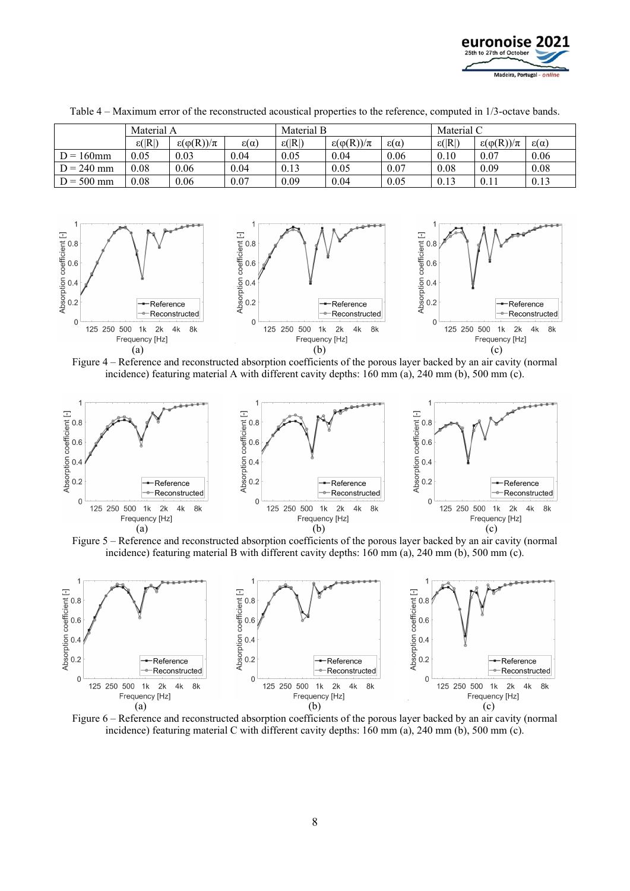

|                   | Material A         |                            | Material B         |                    | Material C                 |                    |                 |                               |                    |
|-------------------|--------------------|----------------------------|--------------------|--------------------|----------------------------|--------------------|-----------------|-------------------------------|--------------------|
|                   | $\varepsilon( R )$ | $\epsilon(\varphi(R))/\pi$ | $\epsilon(\alpha)$ | $\varepsilon( R )$ | $\epsilon(\varphi(R))/\pi$ | $\epsilon(\alpha)$ | $\epsilon( R )$ | $\varepsilon(\varphi(R))/\pi$ | $\epsilon(\alpha)$ |
| $160$ mm<br>$D =$ | 0.05               | 0.03                       | 0.04               | 0.05               | 0.04                       | 0.06               | 0.10            | 0.07                          | 0.06               |
| $D = 240$ mm      | 0.08               | 0.06                       | 0.04               | 0.13               | 0.05                       | 0.07               | 0.08            | 0.09                          | 0.08               |
| $D = 500$ mm      | 0.08               | 0.06                       | 0.07               | 0.09               | 0.04                       | 0.05               | 0.13            | 0.1                           | 0.13               |

Table 4 – Maximum error of the reconstructed acoustical properties to the reference, computed in 1/3-octave bands.



Figure 4 – Reference and reconstructed absorption coefficients of the porous layer backed by an air cavity (normal incidence) featuring material A with different cavity depths: 160 mm (a), 240 mm (b), 500 mm (c).







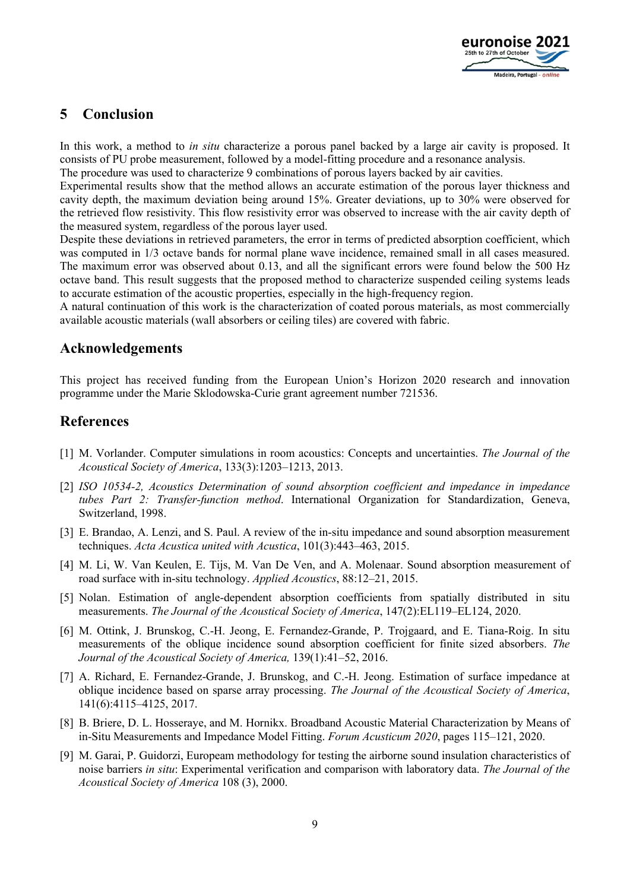

# **5 Conclusion**

In this work, a method to *in situ* characterize a porous panel backed by a large air cavity is proposed. It consists of PU probe measurement, followed by a model-fitting procedure and a resonance analysis.

The procedure was used to characterize 9 combinations of porous layers backed by air cavities.

Experimental results show that the method allows an accurate estimation of the porous layer thickness and cavity depth, the maximum deviation being around 15%. Greater deviations, up to 30% were observed for the retrieved flow resistivity. This flow resistivity error was observed to increase with the air cavity depth of the measured system, regardless of the porous layer used.

Despite these deviations in retrieved parameters, the error in terms of predicted absorption coefficient, which was computed in  $1/3$  octave bands for normal plane wave incidence, remained small in all cases measured. The maximum error was observed about 0.13, and all the significant errors were found below the 500 Hz octave band. This result suggests that the proposed method to characterize suspended ceiling systems leads to accurate estimation of the acoustic properties, especially in the high-frequency region.

A natural continuation of this work is the characterization of coated porous materials, as most commercially available acoustic materials (wall absorbers or ceiling tiles) are covered with fabric.

# **Acknowledgements**

This project has received funding from the European Union's Horizon 2020 research and innovation programme under the Marie Sklodowska-Curie grant agreement number 721536.

# **References**

- [1] M. Vorlander. Computer simulations in room acoustics: Concepts and uncertainties. *The Journal of the Acoustical Society of America*, 133(3):1203–1213, 2013.
- [2] *ISO 10534-2, Acoustics Determination of sound absorption coefficient and impedance in impedance tubes Part 2: Transfer-function method*. International Organization for Standardization, Geneva, Switzerland, 1998.
- [3] E. Brandao, A. Lenzi, and S. Paul. A review of the in-situ impedance and sound absorption measurement techniques. *Acta Acustica united with Acustica*, 101(3):443–463, 2015.
- [4] M. Li, W. Van Keulen, E. Tijs, M. Van De Ven, and A. Molenaar. Sound absorption measurement of road surface with in-situ technology. *Applied Acoustics*, 88:12–21, 2015.
- [5] Nolan. Estimation of angle-dependent absorption coefficients from spatially distributed in situ measurements. *The Journal of the Acoustical Society of America*, 147(2):EL119–EL124, 2020.
- [6] M. Ottink, J. Brunskog, C.-H. Jeong, E. Fernandez-Grande, P. Trojgaard, and E. Tiana-Roig. In situ measurements of the oblique incidence sound absorption coefficient for finite sized absorbers. *The Journal of the Acoustical Society of America,* 139(1):41–52, 2016.
- [7] A. Richard, E. Fernandez-Grande, J. Brunskog, and C.-H. Jeong. Estimation of surface impedance at oblique incidence based on sparse array processing. *The Journal of the Acoustical Society of America*, 141(6):4115–4125, 2017.
- [8] B. Briere, D. L. Hosseraye, and M. Hornikx. Broadband Acoustic Material Characterization by Means of in-Situ Measurements and Impedance Model Fitting. *Forum Acusticum 2020*, pages 115–121, 2020.
- [9] M. Garai, P. Guidorzi, Europeam methodology for testing the airborne sound insulation characteristics of noise barriers *in situ*: Experimental verification and comparison with laboratory data. *The Journal of the Acoustical Society of America* 108 (3), 2000.